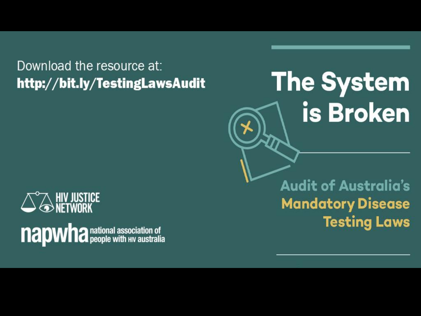Download the resource at: http://bit.ly/TestingLawsAudit

# The System is Broken

**WANG HIV JUSTICE**<br>WANFTWORK napwhanational association of **Audit of Australia's Mandatory Disease Testing Laws**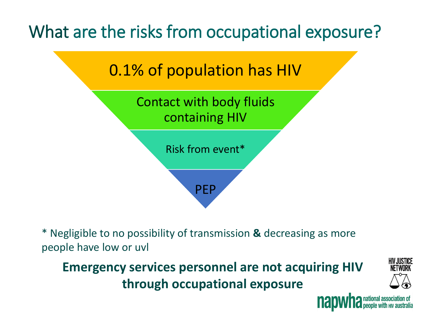#### What are the risks from occupational exposure?



\* Negligible to no possibility of transmission **&** decreasing as more people have low or uvl

**Emergency services personnel are not acquiring HIV through occupational exposure**

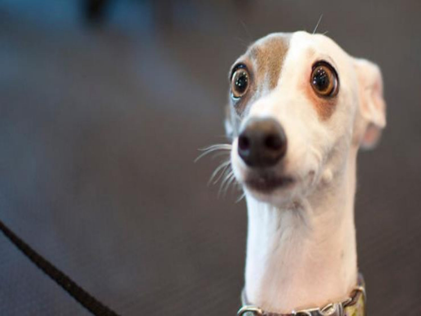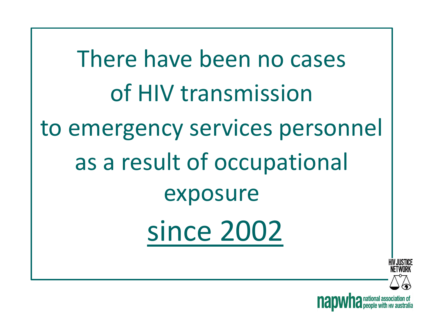ICV SALVICAS of HIV transmission cult of occupas a result of occupational exposure There have been no cases of HIV transmission to emergency services personnel since 2002

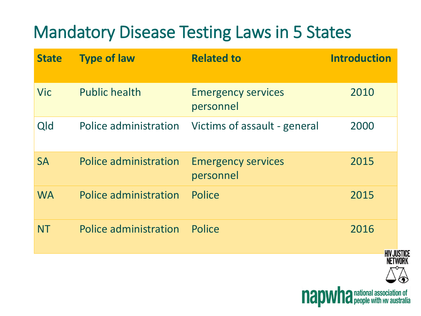#### Mandatory Disease Testing Laws in 5 States

| <b>State</b> | <b>Type of law</b>           | <b>Related to</b>                      | <b>Introduction</b> |
|--------------|------------------------------|----------------------------------------|---------------------|
| <b>Vic</b>   | <b>Public health</b>         | <b>Emergency services</b><br>personnel | 2010                |
| Qld          | Police administration        | Victims of assault - general           | 2000                |
| <b>SA</b>    | <b>Police administration</b> | <b>Emergency services</b><br>personnel | 2015                |
| <b>WA</b>    | Police administration        | <b>Police</b>                          | 2015                |
| <b>NT</b>    | Police administration        | Police                                 | 2016                |
|              |                              |                                        | <b>HIV JUS</b>      |



**a** national association of<br>**a** people with  $H_N$  australia

**nap**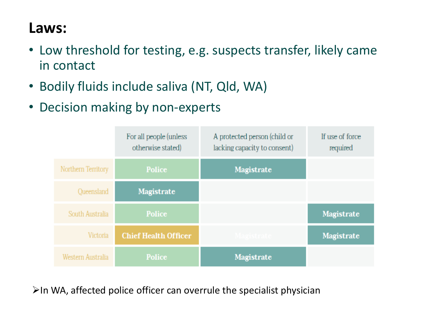#### **Laws:**

- Low threshold for testing, e.g. suspects transfer, likely came in contact
- Bodily fluids include saliva (NT, Qld, WA)
- Decision making by non-experts

|                    | For all people (unless<br>otherwise stated) | A protected person (child or<br>lacking capacity to consent) | If use of force<br>required |
|--------------------|---------------------------------------------|--------------------------------------------------------------|-----------------------------|
| Northern Territory | <b>Police</b>                               | Magistrate                                                   |                             |
| Queensland         | Magistrate                                  |                                                              |                             |
| South Australia    | <b>Police</b>                               |                                                              | Magistrate                  |
| Victoria           | <b>Chief Health Officer</b>                 | Aagistrate                                                   | Magistrate                  |
| Western Australia  | <b>Police</b>                               | Magistrate                                                   |                             |

➢In WA, affected police officer can overrule the specialist physician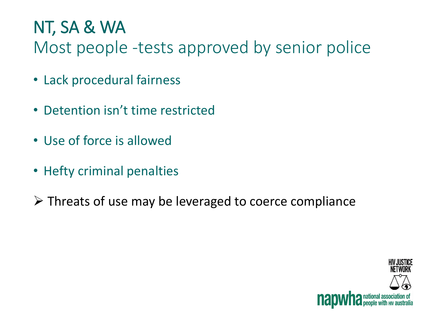#### NT, SA & WA Most people -tests approved by senior police

- Lack procedural fairness
- Detention isn't time restricted
- Use of force is allowed
- Hefty criminal penalties
- ➢ Threats of use may be leveraged to coerce compliance

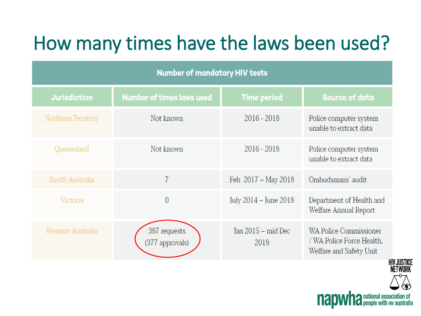### How many times have the laws been used?

| <b>Number of mandatory HIV tests</b> |                                  |                              |                                                                                     |  |  |  |
|--------------------------------------|----------------------------------|------------------------------|-------------------------------------------------------------------------------------|--|--|--|
| <b>Jurisdiction</b>                  | <b>Number of times laws used</b> | <b>Time period</b>           | <b>Source of data</b>                                                               |  |  |  |
| Northern Territory                   | Not known                        | $2016 - 2018$                | Police computer system<br>unable to extract data                                    |  |  |  |
| Queensland                           | Not known                        | $2016 - 2018$                | Police computer system<br>unable to extract data                                    |  |  |  |
| South Australia                      | 7                                | Feb 2017 - May 2018          | Ombudsmans' audit                                                                   |  |  |  |
| Victoria                             | $\overline{0}$                   | July 2014 – June 2018        | Department of Health and<br>Welfare Annual Report                                   |  |  |  |
| Western Australia                    | 387 requests<br>(377 approvals)  | Jan $2015 - mid Dec$<br>2018 | WA Police Commissioner<br>/ WA Police Force Health,<br>Welfare and Safety Unit<br>ш |  |  |  |



**nap**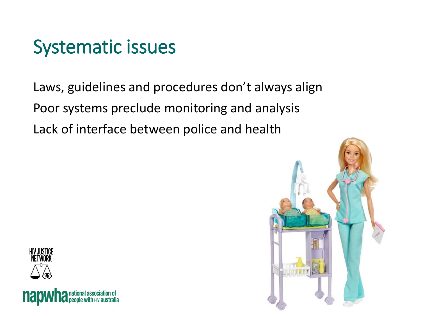#### Systematic issues

Laws, guidelines and procedures don't always align Poor systems preclude monitoring and analysis Lack of interface between police and health



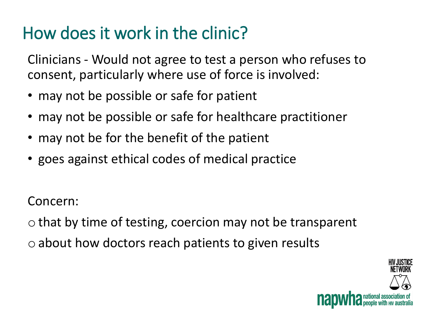#### How does it work in the clinic?

Clinicians - Would not agree to test a person who refuses to consent, particularly where use of force is involved:

- may not be possible or safe for patient
- may not be possible or safe for healthcare practitioner
- may not be for the benefit of the patient
- goes against ethical codes of medical practice

Concern:

 $\circ$  that by time of testing, coercion may not be transparent

 $\circ$  about how doctors reach patients to given results

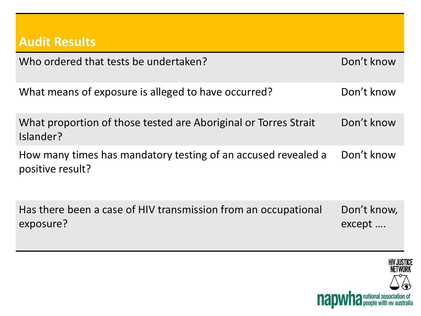#### **Audit Results**

| Who ordered that tests be undertaken?                                             | Don't know |
|-----------------------------------------------------------------------------------|------------|
| What means of exposure is alleged to have occurred?                               | Don't know |
| What proportion of those tested are Aboriginal or Torres Strait<br>Islander?      | Don't know |
| How many times has mandatory testing of an accused revealed a<br>positive result? | Don't know |

Has there been a case of HIV transmission from an occupational exposure? Don't know, except ….

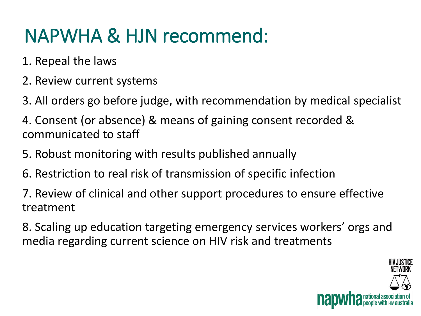### NAPWHA & HJN recommend:

- 1. Repeal the laws
- 2. Review current systems
- 3. All orders go before judge, with recommendation by medical specialist
- 4. Consent (or absence) & means of gaining consent recorded & communicated to staff
- 5. Robust monitoring with results published annually
- 6. Restriction to real risk of transmission of specific infection
- 7. Review of clinical and other support procedures to ensure effective treatment
- 8. Scaling up education targeting emergency services workers' orgs and media regarding current science on HIV risk and treatments